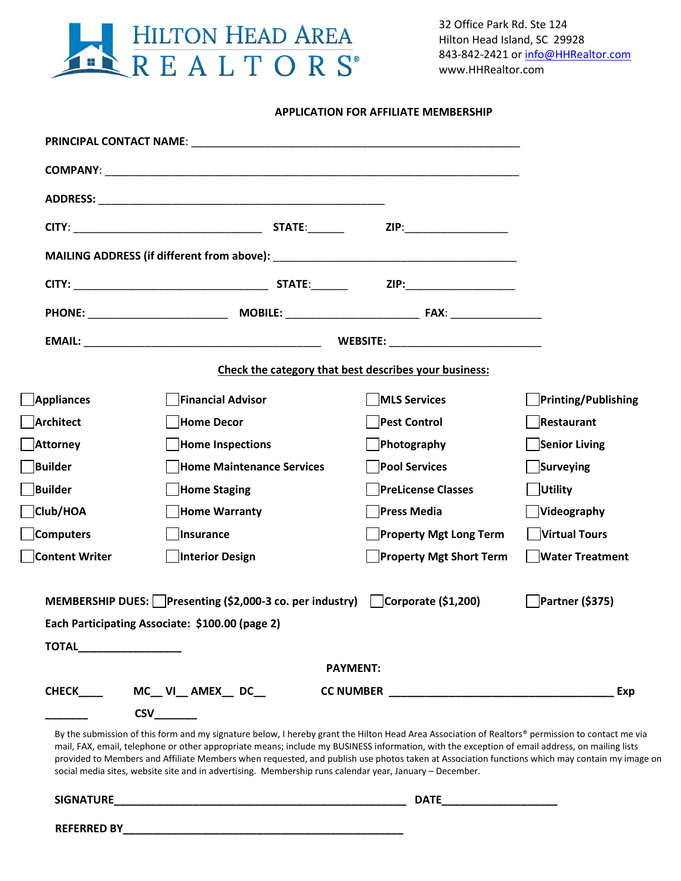

32 Office Park Rd. Ste 124 Hilton Head Island, SC 29928 843-842-2421 or [info@HHRealtor.com](mailto:info@HHRealtor.com) www.HHRealtor.com

## **APPLICATION FOR AFFILIATE MEMBERSHIP**

|                       |                                                                                                                                                                                                                                                                                                                                                                                                                                                                                                                                                                | Check the category that best describes your business: |                        |
|-----------------------|----------------------------------------------------------------------------------------------------------------------------------------------------------------------------------------------------------------------------------------------------------------------------------------------------------------------------------------------------------------------------------------------------------------------------------------------------------------------------------------------------------------------------------------------------------------|-------------------------------------------------------|------------------------|
| Appliances            | <b>Financial Advisor</b>                                                                                                                                                                                                                                                                                                                                                                                                                                                                                                                                       | <b>MLS Services</b>                                   | Printing/Publishing    |
| Architect             | Home Decor                                                                                                                                                                                                                                                                                                                                                                                                                                                                                                                                                     | <b>Pest Control</b>                                   | Restaurant             |
| Attorney              | Home Inspections                                                                                                                                                                                                                                                                                                                                                                                                                                                                                                                                               | Photography                                           | Senior Living          |
| Builder               | <b>Home Maintenance Services</b>                                                                                                                                                                                                                                                                                                                                                                                                                                                                                                                               | <b>Pool Services</b>                                  | Surveying              |
| Builder               | <b>Home Staging</b>                                                                                                                                                                                                                                                                                                                                                                                                                                                                                                                                            | <b>PreLicense Classes</b>                             | <b>Utility</b>         |
| Club/HOA              | <b>Home Warranty</b>                                                                                                                                                                                                                                                                                                                                                                                                                                                                                                                                           | Press Media                                           | <b>Videography</b>     |
| <b>Computers</b>      | <b>Insurance</b>                                                                                                                                                                                                                                                                                                                                                                                                                                                                                                                                               | <b>Property Mgt Long Term</b>                         | <b>Virtual Tours</b>   |
| <b>Content Writer</b> | <b>Interior Design</b>                                                                                                                                                                                                                                                                                                                                                                                                                                                                                                                                         | <b>Property Mgt Short Term</b>                        | <b>Water Treatment</b> |
|                       | MEMBERSHIP DUES: Presenting (\$2,000-3 co. per industry)   Corporate (\$1,200)                                                                                                                                                                                                                                                                                                                                                                                                                                                                                 |                                                       | <b>Partner (\$375)</b> |
|                       | Each Participating Associate: \$100.00 (page 2)                                                                                                                                                                                                                                                                                                                                                                                                                                                                                                                |                                                       |                        |
| <b>TOTAL</b>          |                                                                                                                                                                                                                                                                                                                                                                                                                                                                                                                                                                |                                                       |                        |
|                       |                                                                                                                                                                                                                                                                                                                                                                                                                                                                                                                                                                | <b>PAYMENT:</b>                                       |                        |
|                       | CHECK______  MC__VI__AMEX__DC__                                                                                                                                                                                                                                                                                                                                                                                                                                                                                                                                | CC NUMBER <b>CONSUMER</b>                             | Exp                    |
|                       | <b>CSV</b>                                                                                                                                                                                                                                                                                                                                                                                                                                                                                                                                                     |                                                       |                        |
|                       | By the submission of this form and my signature below, I hereby grant the Hilton Head Area Association of Realtors® permission to contact me via<br>mail, FAX, email, telephone or other appropriate means; include my BUSINESS information, with the exception of email address, on mailing lists<br>provided to Members and Affiliate Members when requested, and publish use photos taken at Association functions which may contain my image on<br>social media sites, website site and in advertising. Membership runs calendar year, January - December. |                                                       |                        |
| SIGNATURE             |                                                                                                                                                                                                                                                                                                                                                                                                                                                                                                                                                                |                                                       |                        |
| <b>REFERRED BY</b>    |                                                                                                                                                                                                                                                                                                                                                                                                                                                                                                                                                                |                                                       |                        |